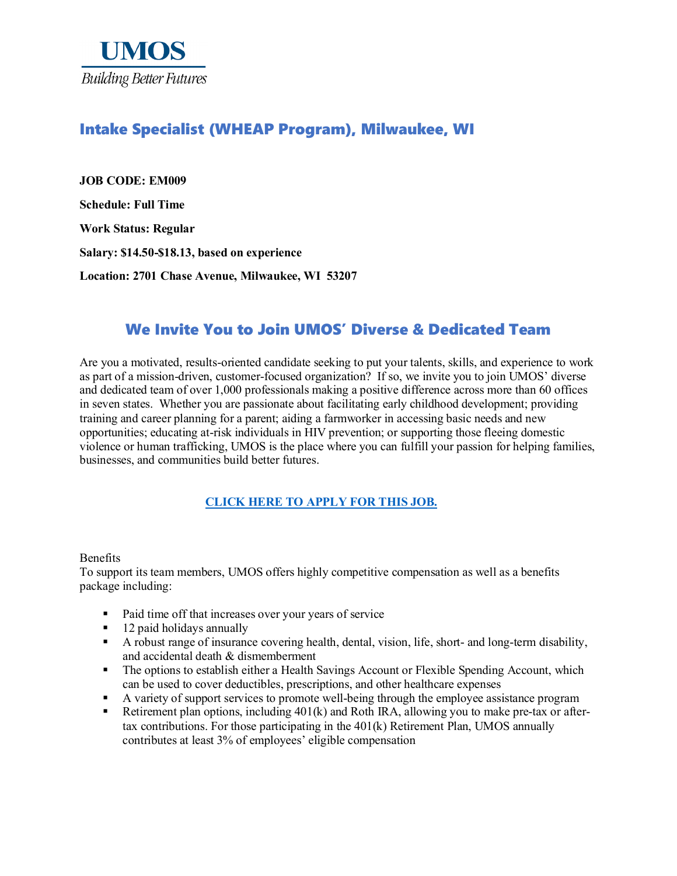

## Intake Specialist (WHEAP Program), Milwaukee, WI

**JOB CODE: EM009 Schedule: Full Time Work Status: Regular Salary: \$14.50-\$18.13, based on experience Location: 2701 Chase Avenue, Milwaukee, WI 53207**

# We Invite You to Join UMOS' Diverse & Dedicated Team

Are you a motivated, results-oriented candidate seeking to put your talents, skills, and experience to work as part of a mission-driven, customer-focused organization? If so, we invite you to join UMOS' diverse and dedicated team of over 1,000 professionals making a positive difference across more than 60 offices in seven states. Whether you are passionate about facilitating early childhood development; providing training and career planning for a parent; aiding a farmworker in accessing basic needs and new opportunities; educating at-risk individuals in HIV prevention; or supporting those fleeing domestic violence or human trafficking, UMOS is the place where you can fulfill your passion for helping families, businesses, and communities build better futures.

#### **[CLICK HERE TO APPLY FOR THIS JOB.](https://www.umos.org/job-application/)**

#### Benefits

To support its team members, UMOS offers highly competitive compensation as well as a benefits package including:

- Paid time off that increases over your years of service
- 12 paid holidays annually
- A robust range of insurance covering health, dental, vision, life, short- and long-term disability, and accidental death & dismemberment
- The options to establish either a Health Savings Account or Flexible Spending Account, which can be used to cover deductibles, prescriptions, and other healthcare expenses
- A variety of support services to promote well-being through the employee assistance program
- Retirement plan options, including  $401(k)$  and Roth IRA, allowing you to make pre-tax or aftertax contributions. For those participating in the 401(k) Retirement Plan, UMOS annually contributes at least 3% of employees' eligible compensation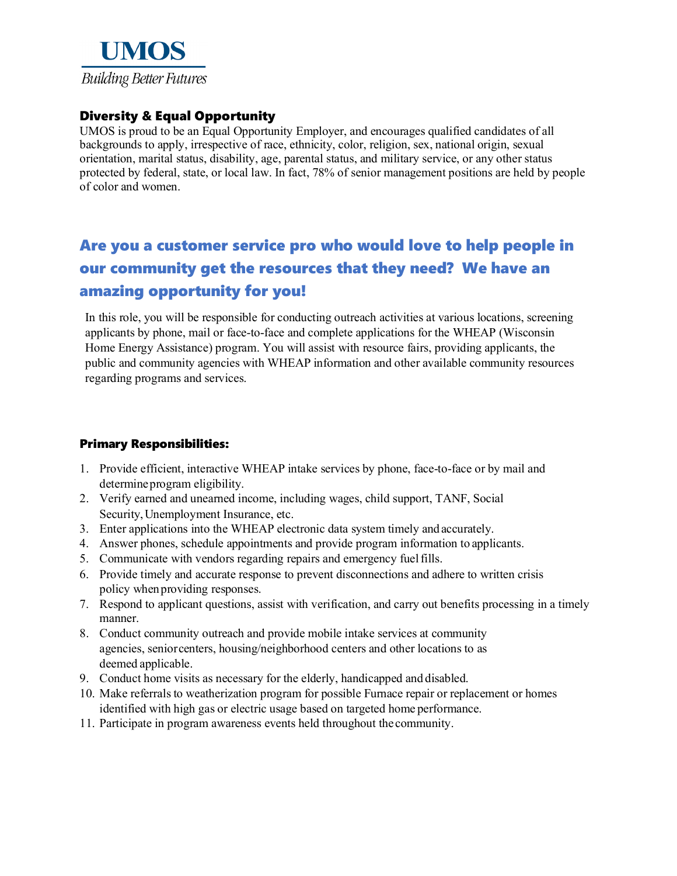

### Diversity & Equal Opportunity

UMOS is proud to be an Equal Opportunity Employer, and encourages qualified candidates of all backgrounds to apply, irrespective of race, ethnicity, color, religion, sex, national origin, sexual orientation, marital status, disability, age, parental status, and military service, or any other status protected by federal, state, or local law. In fact, 78% of senior management positions are held by people of color and women.

# Are you a customer service pro who would love to help people in our community get the resources that they need? We have an amazing opportunity for you!

In this role, you will be responsible for conducting outreach activities at various locations, screening applicants by phone, mail or face-to-face and complete applications for the WHEAP (Wisconsin Home Energy Assistance) program. You will assist with resource fairs, providing applicants, the public and community agencies with WHEAP information and other available community resources regarding programs and services.

#### Primary Responsibilities:

- 1. Provide efficient, interactive WHEAP intake services by phone, face-to-face or by mail and determineprogram eligibility.
- 2. Verify earned and unearned income, including wages, child support, TANF, Social Security,Unemployment Insurance, etc.
- 3. Enter applications into the WHEAP electronic data system timely and accurately.
- 4. Answer phones, schedule appointments and provide program information to applicants.
- 5. Communicate with vendors regarding repairs and emergency fuelfills.
- 6. Provide timely and accurate response to prevent disconnections and adhere to written crisis policy whenproviding responses.
- 7. Respond to applicant questions, assist with verification, and carry out benefits processing in a timely manner.
- 8. Conduct community outreach and provide mobile intake services at community agencies, seniorcenters, housing/neighborhood centers and other locations to as deemed applicable.
- 9. Conduct home visits as necessary for the elderly, handicapped and disabled.
- 10. Make referrals to weatherization program for possible Furnace repair or replacement or homes identified with high gas or electric usage based on targeted home performance.
- 11. Participate in program awareness events held throughout thecommunity.